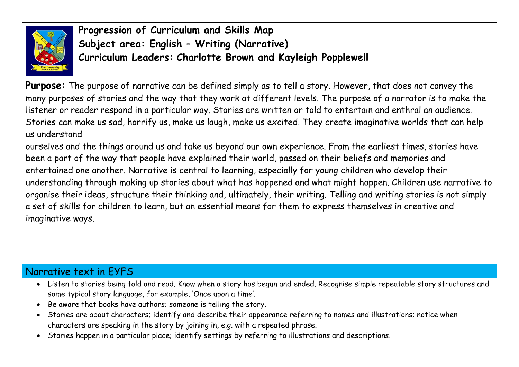

**Progression of Curriculum and Skills Map Subject area: English – Writing (Narrative) Curriculum Leaders: Charlotte Brown and Kayleigh Popplewell**

**Purpose:** The purpose of narrative can be defined simply as to tell a story. However, that does not convey the many purposes of stories and the way that they work at different levels. The purpose of a narrator is to make the listener or reader respond in a particular way. Stories are written or told to entertain and enthral an audience. Stories can make us sad, horrify us, make us laugh, make us excited. They create imaginative worlds that can help us understand

ourselves and the things around us and take us beyond our own experience. From the earliest times, stories have been a part of the way that people have explained their world, passed on their beliefs and memories and entertained one another. Narrative is central to learning, especially for young children who develop their understanding through making up stories about what has happened and what might happen. Children use narrative to organise their ideas, structure their thinking and, ultimately, their writing. Telling and writing stories is not simply a set of skills for children to learn, but an essential means for them to express themselves in creative and imaginative ways.

## Narrative text in EYFS

- Listen to stories being told and read. Know when a story has begun and ended. Recognise simple repeatable story structures and some typical story language, for example, 'Once upon a time'.
- Be aware that books have authors; someone is telling the story.
- Stories are about characters; identify and describe their appearance referring to names and illustrations; notice when characters are speaking in the story by joining in, e.g. with a repeated phrase.
- Stories happen in a particular place; identify settings by referring to illustrations and descriptions.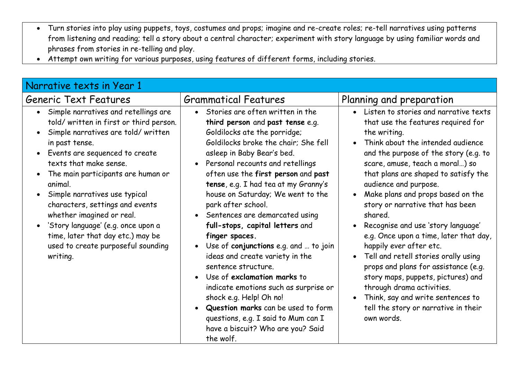- Turn stories into play using puppets, toys, costumes and props; imagine and re-create roles; re-tell narratives using patterns from listening and reading; tell a story about a central character; experiment with story language by using familiar words and phrases from stories in re-telling and play.
- Attempt own writing for various purposes, using features of different forms, including stories.

| Narrative texts in Year 1                                                                                                                                                                                                                                                                                                                                                                                                                                                                                                                          |                                                                                                                                                                                                                                                                                                                                                                                                                                                                                                                                                                                                                                                                                                                                                                                                                                                       |                                                                                                                                                                                                                                                                                                                                                                                                                                                                                                                                                                                                                                                                                                                                                                                  |
|----------------------------------------------------------------------------------------------------------------------------------------------------------------------------------------------------------------------------------------------------------------------------------------------------------------------------------------------------------------------------------------------------------------------------------------------------------------------------------------------------------------------------------------------------|-------------------------------------------------------------------------------------------------------------------------------------------------------------------------------------------------------------------------------------------------------------------------------------------------------------------------------------------------------------------------------------------------------------------------------------------------------------------------------------------------------------------------------------------------------------------------------------------------------------------------------------------------------------------------------------------------------------------------------------------------------------------------------------------------------------------------------------------------------|----------------------------------------------------------------------------------------------------------------------------------------------------------------------------------------------------------------------------------------------------------------------------------------------------------------------------------------------------------------------------------------------------------------------------------------------------------------------------------------------------------------------------------------------------------------------------------------------------------------------------------------------------------------------------------------------------------------------------------------------------------------------------------|
| Generic Text Features                                                                                                                                                                                                                                                                                                                                                                                                                                                                                                                              | <b>Grammatical Features</b>                                                                                                                                                                                                                                                                                                                                                                                                                                                                                                                                                                                                                                                                                                                                                                                                                           | Planning and preparation                                                                                                                                                                                                                                                                                                                                                                                                                                                                                                                                                                                                                                                                                                                                                         |
| Simple narratives and retellings are<br>$\bullet$<br>told/written in first or third person.<br>Simple narratives are told/written<br>$\bullet$<br>in past tense.<br>Events are sequenced to create<br>$\bullet$<br>texts that make sense.<br>The main participants are human or<br>$\bullet$<br>animal.<br>Simple narratives use typical<br>characters, settings and events<br>whether imagined or real.<br>'Story language' (e.g. once upon a<br>$\bullet$<br>time, later that day etc.) may be<br>used to create purposeful sounding<br>writing. | Stories are often written in the<br>$\bullet$<br>third person and past tense e.g.<br>Goldilocks ate the porridge;<br>Goldilocks broke the chair; She fell<br>asleep in Baby Bear's bed.<br>Personal recounts and retellings<br>$\bullet$<br>often use the first person and past<br>tense, e.g. I had tea at my Granny's<br>house on Saturday; We went to the<br>park after school.<br>Sentences are demarcated using<br>$\bullet$<br>full-stops, capital letters and<br>finger spaces.<br>Use of conjunctions e.g. and  to join<br>$\bullet$<br>ideas and create variety in the<br>sentence structure.<br>Use of exclamation marks to<br>$\bullet$<br>indicate emotions such as surprise or<br>shock e.g. Help! Oh no!<br>Question marks can be used to form<br>questions, e.g. I said to Mum can I<br>have a biscuit? Who are you? Said<br>the wolf. | • Listen to stories and narrative texts<br>that use the features required for<br>the writing.<br>Think about the intended audience<br>$\bullet$<br>and the purpose of the story (e.g. to<br>scare, amuse, teach a moral) so<br>that plans are shaped to satisfy the<br>audience and purpose.<br>Make plans and props based on the<br>$\bullet$<br>story or narrative that has been<br>shared.<br>Recognise and use 'story language'<br>$\bullet$<br>e.g. Once upon a time, later that day,<br>happily ever after etc.<br>Tell and retell stories orally using<br>$\bullet$<br>props and plans for assistance (e.g.<br>story maps, puppets, pictures) and<br>through drama activities.<br>Think, say and write sentences to<br>tell the story or narrative in their<br>own words. |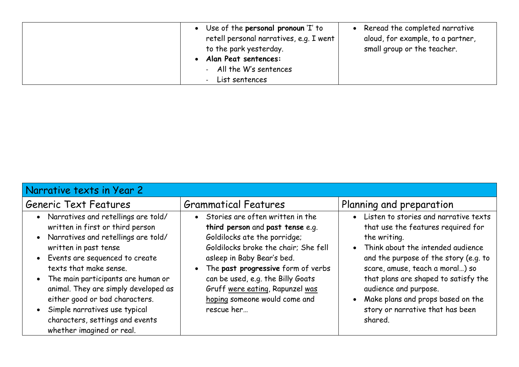| • Use of the personal pronoun 'I' to<br>retell personal narratives, e.g. I went<br>to the park yesterday.<br>Alan Peat sentences:<br>- All the W's sentences<br>- List sentences | Reread the completed narrative<br>aloud, for example, to a partner,<br>small group or the teacher. |
|----------------------------------------------------------------------------------------------------------------------------------------------------------------------------------|----------------------------------------------------------------------------------------------------|
|----------------------------------------------------------------------------------------------------------------------------------------------------------------------------------|----------------------------------------------------------------------------------------------------|

| Narrative texts in Year 2                                                                                                                                                                                                                                                                                                                                                                                                      |                                                                                                                                                                                                                                                                                                                                             |                                                                                                                                                                                                                                                                                                                                                                                               |
|--------------------------------------------------------------------------------------------------------------------------------------------------------------------------------------------------------------------------------------------------------------------------------------------------------------------------------------------------------------------------------------------------------------------------------|---------------------------------------------------------------------------------------------------------------------------------------------------------------------------------------------------------------------------------------------------------------------------------------------------------------------------------------------|-----------------------------------------------------------------------------------------------------------------------------------------------------------------------------------------------------------------------------------------------------------------------------------------------------------------------------------------------------------------------------------------------|
| Generic Text Features                                                                                                                                                                                                                                                                                                                                                                                                          | <b>Grammatical Features</b>                                                                                                                                                                                                                                                                                                                 | Planning and preparation                                                                                                                                                                                                                                                                                                                                                                      |
| • Narratives and retellings are told/<br>written in first or third person<br>• Narratives and retellings are told/<br>written in past tense<br>• Events are sequenced to create<br>texts that make sense.<br>• The main participants are human or<br>animal. They are simply developed as<br>either good or bad characters.<br>• Simple narratives use typical<br>characters, settings and events<br>whether imagined or real. | • Stories are often written in the<br>third person and past tense e.g.<br>Goldilocks ate the porridge;<br>Goldilocks broke the chair; She fell<br>asleep in Baby Bear's bed.<br>• The past progressive form of verbs<br>can be used, e.g. the Billy Goats<br>Gruff were eating, Rapunzel was<br>hoping someone would come and<br>rescue her | • Listen to stories and narrative texts<br>that use the features required for<br>the writing.<br>Think about the intended audience<br>$\bullet$<br>and the purpose of the story (e.g. to<br>scare, amuse, teach a moral) so<br>that plans are shaped to satisfy the<br>audience and purpose.<br>Make plans and props based on the<br>$\bullet$<br>story or narrative that has been<br>shared. |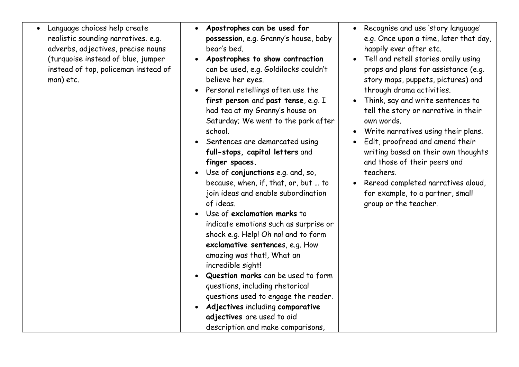- Language choices help create realistic sounding narratives. e.g. adverbs, adjectives, precise nouns (turquoise instead of blue, jumper instead of top, policeman instead of man) etc.
- **Apostrophes can be used for possession**, e.g. Granny's house, baby bear's bed.
- **Apostrophes to show contraction** can be used, e.g. Goldilocks couldn't believe her eyes.
- Personal retellings often use the **first person** and **past tense**, e.g. I had tea at my Granny's house on Saturday; We went to the park after school.
- Sentences are demarcated using **full-stops, capital letters** and **finger spaces.**
- Use of **conjunctions** e.g. and, so, because, when, if, that, or, but … to join ideas and enable subordination of ideas.
- Use of **exclamation marks** to indicate emotions such as surprise or shock e.g. Help! Oh no! and to form **exclamative sentence**s, e.g. How amazing was that!, What an incredible sight!
- **Question marks** can be used to form questions, including rhetorical questions used to engage the reader.
- **Adjectives** including **comparative adjectives** are used to aid description and make comparisons,
- Recognise and use 'story language' e.g. Once upon a time, later that day, happily ever after etc.
- Tell and retell stories orally using props and plans for assistance (e.g. story maps, puppets, pictures) and through drama activities.
- Think, say and write sentences to tell the story or narrative in their own words.
- Write narratives using their plans.
- Edit, proofread and amend their writing based on their own thoughts and those of their peers and teachers.
- Reread completed narratives aloud, for example, to a partner, small group or the teacher.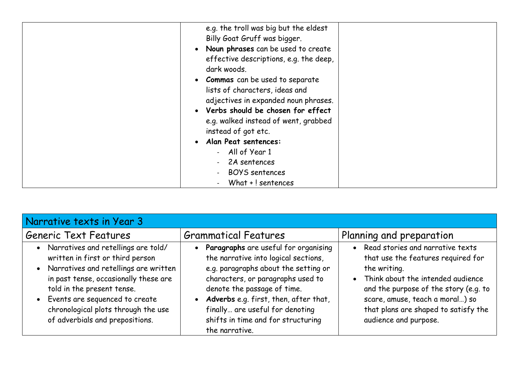|--|

| Narrative texts in Year 3                                                                                                                                                                                                                                                                                 |                                                                                                                                                                                                                                                                                                                                                        |                                                                                                                                                                                                                                                                                         |
|-----------------------------------------------------------------------------------------------------------------------------------------------------------------------------------------------------------------------------------------------------------------------------------------------------------|--------------------------------------------------------------------------------------------------------------------------------------------------------------------------------------------------------------------------------------------------------------------------------------------------------------------------------------------------------|-----------------------------------------------------------------------------------------------------------------------------------------------------------------------------------------------------------------------------------------------------------------------------------------|
| Generic Text Features                                                                                                                                                                                                                                                                                     | <b>Grammatical Features</b>                                                                                                                                                                                                                                                                                                                            | Planning and preparation                                                                                                                                                                                                                                                                |
| • Narratives and retellings are told/<br>written in first or third person<br>• Narratives and retellings are written<br>in past tense, occasionally these are<br>told in the present tense.<br>• Events are sequenced to create<br>chronological plots through the use<br>of adverbials and prepositions. | Paragraphs are useful for organising<br>$\bullet$<br>the narrative into logical sections,<br>e.g. paragraphs about the setting or<br>characters, or paragraphs used to<br>denote the passage of time.<br>Adverbs e.g. first, then, after that,<br>$\bullet$<br>finally are useful for denoting<br>shifts in time and for structuring<br>the narrative. | Read stories and narrative texts<br>$\bullet$<br>that use the features required for<br>the writing.<br>• Think about the intended audience<br>and the purpose of the story (e.g. to<br>scare, amuse, teach a moral) so<br>that plans are shaped to satisfy the<br>audience and purpose. |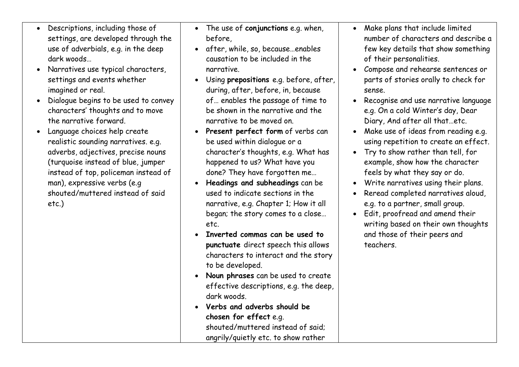- Descriptions, including those of settings, are developed through the use of adverbials, e.g. in the deep dark woods…
- Narratives use typical characters, settings and events whether imagined or real.
- Dialogue begins to be used to convey characters' thoughts and to move the narrative forward.
- Language choices help create realistic sounding narratives. e.g. adverbs, adjectives, precise nouns (turquoise instead of blue, jumper instead of top, policeman instead of man), expressive verbs (e.g shouted/muttered instead of said etc.)
- The use of **conjunctions** e.g. when, before,
- after, while, so, because…enables causation to be included in the narrative.
- Using **prepositions** e.g. before, after, during, after, before, in, because of… enables the passage of time to be shown in the narrative and the narrative to be moved on.
- **Present perfect form** of verbs can be used within dialogue or a character's thoughts, e.g. What has happened to us? What have you done? They have forgotten me…
- **Headings and subheadings** can be used to indicate sections in the narrative, e.g. Chapter 1; How it all began; the story comes to a close… etc.
- **Inverted commas can be used to punctuate** direct speech this allows characters to interact and the story to be developed.
- **Noun phrases** can be used to create effective descriptions, e.g. the deep, dark woods.
- **Verbs and adverbs should be chosen for effect** e.g. shouted/muttered instead of said; angrily/quietly etc. to show rather
- Make plans that include limited number of characters and describe a few key details that show something of their personalities.
- Compose and rehearse sentences or parts of stories orally to check for sense.
- Recognise and use narrative language e.g. On a cold Winter's day, Dear Diary, And after all that…etc.
- Make use of ideas from reading e.g. using repetition to create an effect.
- Try to show rather than tell, for example, show how the character feels by what they say or do.
- Write narratives using their plans.
- Reread completed narratives aloud, e.g. to a partner, small group.
- Edit, proofread and amend their writing based on their own thoughts and those of their peers and teachers.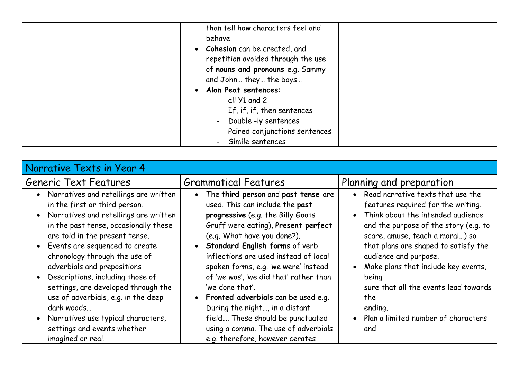| than tell how characters feel and<br>behave.<br>• Cohesion can be created, and<br>repetition avoided through the use<br>of nouns and pronouns e.g. Sammy<br>and John they the boys<br>Alan Peat sentences:<br>$\bullet$ |  |
|-------------------------------------------------------------------------------------------------------------------------------------------------------------------------------------------------------------------------|--|
| - all $Y1$ and 2<br>- If, if, if, then sentences<br>Double -ly sentences<br>- Paired conjunctions sentences<br>Simile sentences                                                                                         |  |

| Narrative Texts in Year 4                                                                                                                                                                                                                                                                                                                                                                                                                                                                                                     |                                                                                                                                                                                                                                                                                                                                                                                                                                                                                                                                         |                                                                                                                                                                                                                                                                                                                                                                                                                                     |
|-------------------------------------------------------------------------------------------------------------------------------------------------------------------------------------------------------------------------------------------------------------------------------------------------------------------------------------------------------------------------------------------------------------------------------------------------------------------------------------------------------------------------------|-----------------------------------------------------------------------------------------------------------------------------------------------------------------------------------------------------------------------------------------------------------------------------------------------------------------------------------------------------------------------------------------------------------------------------------------------------------------------------------------------------------------------------------------|-------------------------------------------------------------------------------------------------------------------------------------------------------------------------------------------------------------------------------------------------------------------------------------------------------------------------------------------------------------------------------------------------------------------------------------|
| Generic Text Features                                                                                                                                                                                                                                                                                                                                                                                                                                                                                                         | <b>Grammatical Features</b>                                                                                                                                                                                                                                                                                                                                                                                                                                                                                                             | Planning and preparation                                                                                                                                                                                                                                                                                                                                                                                                            |
| Narratives and retellings are written<br>$\bullet$<br>in the first or third person.<br>Narratives and retellings are written<br>$\bullet$<br>in the past tense, occasionally these<br>are told in the present tense.<br>• Events are sequenced to create<br>chronology through the use of<br>adverbials and prepositions<br>Descriptions, including those of<br>settings, are developed through the<br>use of adverbials, e.g. in the deep<br>dark woods<br>Narratives use typical characters,<br>settings and events whether | The third person and past tense are<br>$\bullet$<br>used. This can include the past<br>progressive (e.g. the Billy Goats<br>Gruff were eating), Present perfect<br>(e.g. What have you done?).<br>• Standard English forms of verb<br>inflections are used instead of local<br>spoken forms, e.g. 'we were' instead<br>of 'we was', 'we did that' rather than<br>'we done that'.<br>• Fronted adverbials can be used e.g.<br>During the night, in a distant<br>field These should be punctuated<br>using a comma. The use of adverbials | • Read narrative texts that use the<br>features required for the writing.<br>Think about the intended audience<br>$\bullet$<br>and the purpose of the story (e.g. to<br>scare, amuse, teach a moral) so<br>that plans are shaped to satisfy the<br>audience and purpose.<br>Make plans that include key events,<br>being<br>sure that all the events lead towards<br>the<br>ending.<br>• Plan a limited number of characters<br>and |
| imagined or real.                                                                                                                                                                                                                                                                                                                                                                                                                                                                                                             | e.g. therefore, however cerates                                                                                                                                                                                                                                                                                                                                                                                                                                                                                                         |                                                                                                                                                                                                                                                                                                                                                                                                                                     |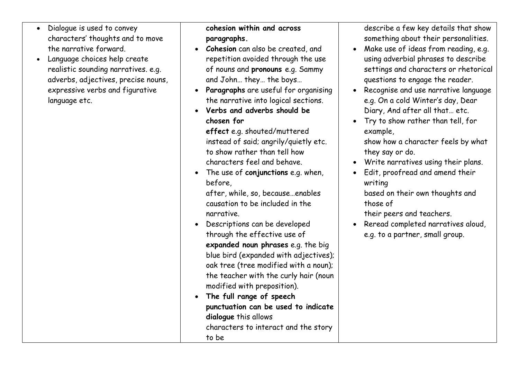- Dialogue is used to convey characters' thoughts and to move the narrative forward.
- Language choices help create realistic sounding narratives. e.g. adverbs, adjectives, precise nouns, expressive verbs and figurative language etc.

## **cohesion within and across paragraphs.**

- **Cohesion** can also be created, and repetition avoided through the use of nouns and **pronouns** e.g. Sammy and John… they… the boys…
- **Paragraphs** are useful for organising the narrative into logical sections.
- **Verbs and adverbs should be chosen for**

**effect** e.g. shouted/muttered instead of said; angrily/quietly etc. to show rather than tell how characters feel and behave.

• The use of **conjunctions** e.g. when, before,

after, while, so, because…enables causation to be included in the narrative.

- Descriptions can be developed through the effective use of **expanded noun phrases** e.g. the big blue bird (expanded with adjectives); oak tree (tree modified with a noun); the teacher with the curly hair (noun modified with preposition).
- **The full range of speech punctuation can be used to indicate dialogue** this allows characters to interact and the story to be

describe a few key details that show something about their personalities.

- Make use of ideas from reading, e.g. using adverbial phrases to describe settings and characters or rhetorical questions to engage the reader.
- Recognise and use narrative language e.g. On a cold Winter's day, Dear Diary, And after all that… etc.
- Try to show rather than tell, for example,

show how a character feels by what they say or do.

- Write narratives using their plans.
- Edit, proofread and amend their writing

based on their own thoughts and those of

their peers and teachers.

• Reread completed narratives aloud, e.g. to a partner, small group.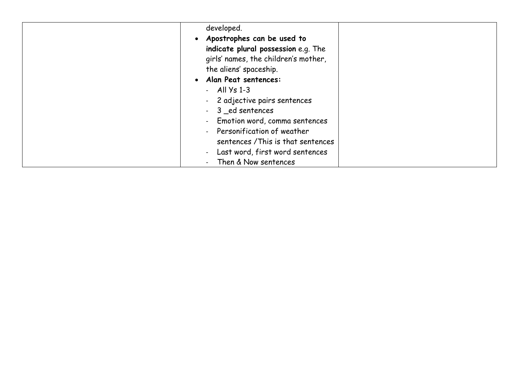| developed.                                                  |  |
|-------------------------------------------------------------|--|
| Apostrophes can be used to<br>$\bullet$                     |  |
| indicate plural possession e.g. The                         |  |
| girls' names, the children's mother,                        |  |
| the aliens' spaceship.                                      |  |
| Alan Peat sentences:<br>$\bullet$                           |  |
| $-$ All $\sqrt{5}$ 1-3                                      |  |
| - 2 adjective pairs sentences                               |  |
| - 3 ed sentences                                            |  |
| Emotion word, comma sentences<br>$\mathbf{L}^{\mathcal{A}}$ |  |
| - Personification of weather                                |  |
| sentences / This is that sentences                          |  |
| - Last word, first word sentences                           |  |
| Then & Now sentences                                        |  |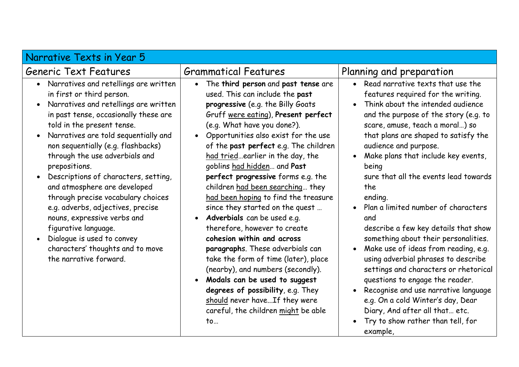| Narrative Texts in Year 5                                                                                                                                                                                                                                                                                                                                                                                                                                                                                                                                                                                                                                          |                                                                                                                                                                                                                                                                                                                                                                                                                                                                                                                                                                                                                                                                                                                                                                                                                                                                                                                          |                                                                                                                                                                                                                                                                                                                                                                                                                                                                                                                                                                                                                                                                                                                                                                                                                                                                                       |
|--------------------------------------------------------------------------------------------------------------------------------------------------------------------------------------------------------------------------------------------------------------------------------------------------------------------------------------------------------------------------------------------------------------------------------------------------------------------------------------------------------------------------------------------------------------------------------------------------------------------------------------------------------------------|--------------------------------------------------------------------------------------------------------------------------------------------------------------------------------------------------------------------------------------------------------------------------------------------------------------------------------------------------------------------------------------------------------------------------------------------------------------------------------------------------------------------------------------------------------------------------------------------------------------------------------------------------------------------------------------------------------------------------------------------------------------------------------------------------------------------------------------------------------------------------------------------------------------------------|---------------------------------------------------------------------------------------------------------------------------------------------------------------------------------------------------------------------------------------------------------------------------------------------------------------------------------------------------------------------------------------------------------------------------------------------------------------------------------------------------------------------------------------------------------------------------------------------------------------------------------------------------------------------------------------------------------------------------------------------------------------------------------------------------------------------------------------------------------------------------------------|
| Generic Text Features                                                                                                                                                                                                                                                                                                                                                                                                                                                                                                                                                                                                                                              | <b>Grammatical Features</b>                                                                                                                                                                                                                                                                                                                                                                                                                                                                                                                                                                                                                                                                                                                                                                                                                                                                                              | Planning and preparation                                                                                                                                                                                                                                                                                                                                                                                                                                                                                                                                                                                                                                                                                                                                                                                                                                                              |
| • Narratives and retellings are written<br>in first or third person.<br>Narratives and retellings are written<br>$\bullet$<br>in past tense, occasionally these are<br>told in the present tense.<br>Narratives are told sequentially and<br>$\bullet$<br>non sequentially (e.g. flashbacks)<br>through the use adverbials and<br>prepositions.<br>Descriptions of characters, setting,<br>and atmosphere are developed<br>through precise vocabulary choices<br>e.g. adverbs, adjectives, precise<br>nouns, expressive verbs and<br>figurative language.<br>Dialogue is used to convey<br>$\bullet$<br>characters' thoughts and to move<br>the narrative forward. | The third person and past tense are<br>$\bullet$<br>used. This can include the past<br>progressive (e.g. the Billy Goats<br>Gruff were eating), Present perfect<br>(e.g. What have you done?).<br>Opportunities also exist for the use<br>$\bullet$<br>of the past perfect e.g. The children<br>had triedearlier in the day, the<br>goblins had hidden and Past<br>perfect progressive forms e.g. the<br>children had been searching they<br>had been hoping to find the treasure<br>since they started on the quest<br><b>Adverbials</b> can be used e.g.<br>$\bullet$<br>therefore, however to create<br>cohesion within and across<br>paragraphs. These adverbials can<br>take the form of time (later), place<br>(nearby), and numbers (secondly).<br>Modals can be used to suggest<br>$\bullet$<br>degrees of possibility, e.g. They<br>should never have If they were<br>careful, the children might be able<br>to | • Read narrative texts that use the<br>features required for the writing.<br>Think about the intended audience<br>$\bullet$<br>and the purpose of the story (e.g. to<br>scare, amuse, teach a moral) so<br>that plans are shaped to satisfy the<br>audience and purpose.<br>Make plans that include key events,<br>$\bullet$<br>being<br>sure that all the events lead towards<br>the<br>ending.<br>• Plan a limited number of characters<br>and<br>describe a few key details that show<br>something about their personalities.<br>Make use of ideas from reading, e.g.<br>$\bullet$<br>using adverbial phrases to describe<br>settings and characters or rhetorical<br>questions to engage the reader.<br>Recognise and use narrative language<br>$\bullet$<br>e.g. On a cold Winter's day, Dear<br>Diary, And after all that etc.<br>Try to show rather than tell, for<br>example, |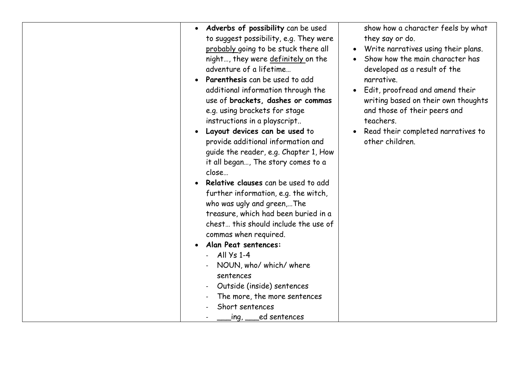| Adverbs of possibility can be used<br>$\bullet$<br>to suggest possibility, e.g. They were<br>probably going to be stuck there all<br>night, they were definitely on the<br>adventure of a lifetime<br>Parenthesis can be used to add<br>additional information through the<br>use of brackets, dashes or commas<br>e.g. using brackets for stage<br>instructions in a playscript<br>Layout devices can be used to<br>provide additional information and<br>guide the reader, e.g. Chapter 1, How<br>it all began, The story comes to a<br>close<br>Relative clauses can be used to add<br>further information, e.g. the witch,<br>who was ugly and green,The<br>treasure, which had been buried in a<br>chest this should include the use of<br>commas when required.<br>Alan Peat sentences:<br>All $\sqrt{5}$ 1-4<br>NOUN, who/ which/ where<br>sentences<br>Outside (inside) sentences<br>The more, the more sentences<br>Short sentences<br>ing, ed sentences | show how a character feels by what<br>they say or do.<br>• Write narratives using their plans.<br>Show how the main character has<br>developed as a result of the<br>narrative.<br>Edit, proofread and amend their<br>writing based on their own thoughts<br>and those of their peers and<br>teachers.<br>Read their completed narratives to<br>other children. |
|-------------------------------------------------------------------------------------------------------------------------------------------------------------------------------------------------------------------------------------------------------------------------------------------------------------------------------------------------------------------------------------------------------------------------------------------------------------------------------------------------------------------------------------------------------------------------------------------------------------------------------------------------------------------------------------------------------------------------------------------------------------------------------------------------------------------------------------------------------------------------------------------------------------------------------------------------------------------|-----------------------------------------------------------------------------------------------------------------------------------------------------------------------------------------------------------------------------------------------------------------------------------------------------------------------------------------------------------------|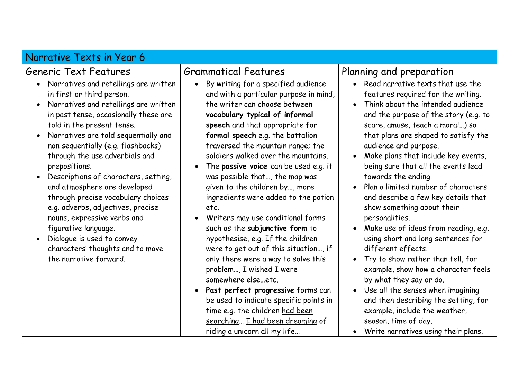| Narrative Texts in Year 6                                                                                                                                                                                                                                                                                                                                                                                                                                                                                                                                                                                                                             |                                                                                                                                                                                                                                                                                                                                                                                                                                                                                                                                                                                                                                                                                                                                                                                                                                                                                                                                                            |                                                                                                                                                                                                                                                                                                                                                                                                                                                                                                                                                                                                                                                                                                                                                                                                                                                                                                                                                                                   |
|-------------------------------------------------------------------------------------------------------------------------------------------------------------------------------------------------------------------------------------------------------------------------------------------------------------------------------------------------------------------------------------------------------------------------------------------------------------------------------------------------------------------------------------------------------------------------------------------------------------------------------------------------------|------------------------------------------------------------------------------------------------------------------------------------------------------------------------------------------------------------------------------------------------------------------------------------------------------------------------------------------------------------------------------------------------------------------------------------------------------------------------------------------------------------------------------------------------------------------------------------------------------------------------------------------------------------------------------------------------------------------------------------------------------------------------------------------------------------------------------------------------------------------------------------------------------------------------------------------------------------|-----------------------------------------------------------------------------------------------------------------------------------------------------------------------------------------------------------------------------------------------------------------------------------------------------------------------------------------------------------------------------------------------------------------------------------------------------------------------------------------------------------------------------------------------------------------------------------------------------------------------------------------------------------------------------------------------------------------------------------------------------------------------------------------------------------------------------------------------------------------------------------------------------------------------------------------------------------------------------------|
| Generic Text Features                                                                                                                                                                                                                                                                                                                                                                                                                                                                                                                                                                                                                                 | <b>Grammatical Features</b>                                                                                                                                                                                                                                                                                                                                                                                                                                                                                                                                                                                                                                                                                                                                                                                                                                                                                                                                | Planning and preparation                                                                                                                                                                                                                                                                                                                                                                                                                                                                                                                                                                                                                                                                                                                                                                                                                                                                                                                                                          |
| • Narratives and retellings are written<br>in first or third person.<br>Narratives and retellings are written<br>$\bullet$<br>in past tense, occasionally these are<br>told in the present tense.<br>Narratives are told sequentially and<br>$\bullet$<br>non sequentially (e.g. flashbacks)<br>through the use adverbials and<br>prepositions.<br>Descriptions of characters, setting,<br>and atmosphere are developed<br>through precise vocabulary choices<br>e.g. adverbs, adjectives, precise<br>nouns, expressive verbs and<br>figurative language.<br>Dialogue is used to convey<br>characters' thoughts and to move<br>the narrative forward. | By writing for a specified audience<br>$\bullet$<br>and with a particular purpose in mind,<br>the writer can choose between<br>vocabulary typical of informal<br>speech and that appropriate for<br>formal speech e.g. the battalion<br>traversed the mountain range; the<br>soldiers walked over the mountains.<br>The passive voice can be used e.g. it<br>$\bullet$<br>was possible that, the map was<br>given to the children by, more<br>ingredients were added to the potion<br>etc.<br>Writers may use conditional forms<br>$\bullet$<br>such as the subjunctive form to<br>hypothesise, e.g. If the children<br>were to get out of this situation, if<br>only there were a way to solve this<br>problem, I wished I were<br>somewhere elseetc.<br>Past perfect progressive forms can<br>$\bullet$<br>be used to indicate specific points in<br>time e.g. the children had been<br>searching I had been dreaming of<br>riding a unicorn all my life | • Read narrative texts that use the<br>features required for the writing.<br>Think about the intended audience<br>$\bullet$<br>and the purpose of the story (e.g. to<br>scare, amuse, teach a moral) so<br>that plans are shaped to satisfy the<br>audience and purpose.<br>Make plans that include key events,<br>$\bullet$<br>being sure that all the events lead<br>towards the ending.<br>Plan a limited number of characters<br>$\bullet$<br>and describe a few key details that<br>show something about their<br>personalities.<br>Make use of ideas from reading, e.g.<br>$\bullet$<br>using short and long sentences for<br>different effects.<br>Try to show rather than tell, for<br>$\bullet$<br>example, show how a character feels<br>by what they say or do.<br>Use all the senses when imagining<br>$\bullet$<br>and then describing the setting, for<br>example, include the weather,<br>season, time of day.<br>Write narratives using their plans.<br>$\bullet$ |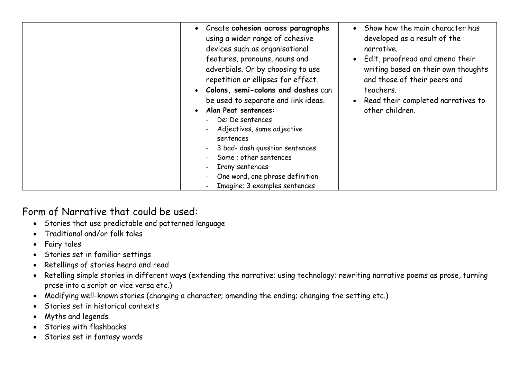| • Create cohesion across paragraphs<br>using a wider range of cohesive<br>devices such as organisational<br>features, pronouns, nouns and<br>adverbials. Or by choosing to use<br>repetition or ellipses for effect.<br>Colons, semi-colons and dashes can<br>$\bullet$<br>be used to separate and link ideas.<br>Alan Peat sentences:<br>$\bullet$<br>De: De sentences<br>Adjectives, same adjective<br>sentences<br>3 bad- dash question sentences<br>Some ; other sentences<br>Irony sentences<br>One word, one phrase definition<br>Imagine; 3 examples sentences | • Show how the main character has<br>developed as a result of the<br>narrative.<br>• Edit, proofread and amend their<br>writing based on their own thoughts<br>and those of their peers and<br>teachers.<br>Read their completed narratives to<br>$\bullet$<br>other children. |
|-----------------------------------------------------------------------------------------------------------------------------------------------------------------------------------------------------------------------------------------------------------------------------------------------------------------------------------------------------------------------------------------------------------------------------------------------------------------------------------------------------------------------------------------------------------------------|--------------------------------------------------------------------------------------------------------------------------------------------------------------------------------------------------------------------------------------------------------------------------------|

## Form of Narrative that could be used:

- Stories that use predictable and patterned language
- Traditional and/or folk tales
- Fairy tales
- Stories set in familiar settings
- Retellings of stories heard and read
- Retelling simple stories in different ways (extending the narrative; using technology; rewriting narrative poems as prose, turning prose into a script or vice versa etc.)
- Modifying well-known stories (changing a character; amending the ending; changing the setting etc.)
- Stories set in historical contexts
- Myths and legends
- Stories with flashbacks
- Stories set in fantasy words